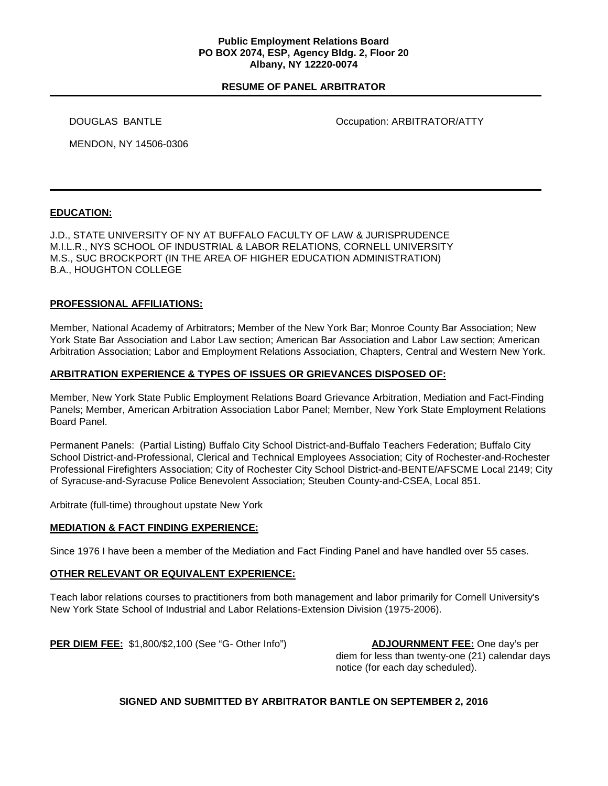#### **Public Employment Relations Board PO BOX 2074, ESP, Agency Bldg. 2, Floor 20 Albany, NY 12220-0074**

## **RESUME OF PANEL ARBITRATOR**

DOUGLAS BANTLE **DOUGLAS BANTLE COLLECTION** 

MENDON, NY 14506-0306

# **EDUCATION:**

J.D., STATE UNIVERSITY OF NY AT BUFFALO FACULTY OF LAW & JURISPRUDENCE M.I.L.R., NYS SCHOOL OF INDUSTRIAL & LABOR RELATIONS, CORNELL UNIVERSITY M.S., SUC BROCKPORT (IN THE AREA OF HIGHER EDUCATION ADMINISTRATION) B.A., HOUGHTON COLLEGE

## **PROFESSIONAL AFFILIATIONS:**

Member, National Academy of Arbitrators; Member of the New York Bar; Monroe County Bar Association; New York State Bar Association and Labor Law section; American Bar Association and Labor Law section; American Arbitration Association; Labor and Employment Relations Association, Chapters, Central and Western New York.

## **ARBITRATION EXPERIENCE & TYPES OF ISSUES OR GRIEVANCES DISPOSED OF:**

Member, New York State Public Employment Relations Board Grievance Arbitration, Mediation and Fact-Finding Panels; Member, American Arbitration Association Labor Panel; Member, New York State Employment Relations Board Panel.

Permanent Panels: (Partial Listing) Buffalo City School District-and-Buffalo Teachers Federation; Buffalo City School District-and-Professional, Clerical and Technical Employees Association; City of Rochester-and-Rochester Professional Firefighters Association; City of Rochester City School District-and-BENTE/AFSCME Local 2149; City of Syracuse-and-Syracuse Police Benevolent Association; Steuben County-and-CSEA, Local 851.

Arbitrate (full-time) throughout upstate New York

# **MEDIATION & FACT FINDING EXPERIENCE:**

Since 1976 I have been a member of the Mediation and Fact Finding Panel and have handled over 55 cases.

#### **OTHER RELEVANT OR EQUIVALENT EXPERIENCE:**

Teach labor relations courses to practitioners from both management and labor primarily for Cornell University's New York State School of Industrial and Labor Relations-Extension Division (1975-2006).

**PER DIEM FEE:** \$1,800/\$2,100 (See "G- Other Info") **ADJOURNMENT FEE:** One day's per

diem for less than twenty-one (21) calendar days notice (for each day scheduled).

# **SIGNED AND SUBMITTED BY ARBITRATOR BANTLE ON SEPTEMBER 2, 2016**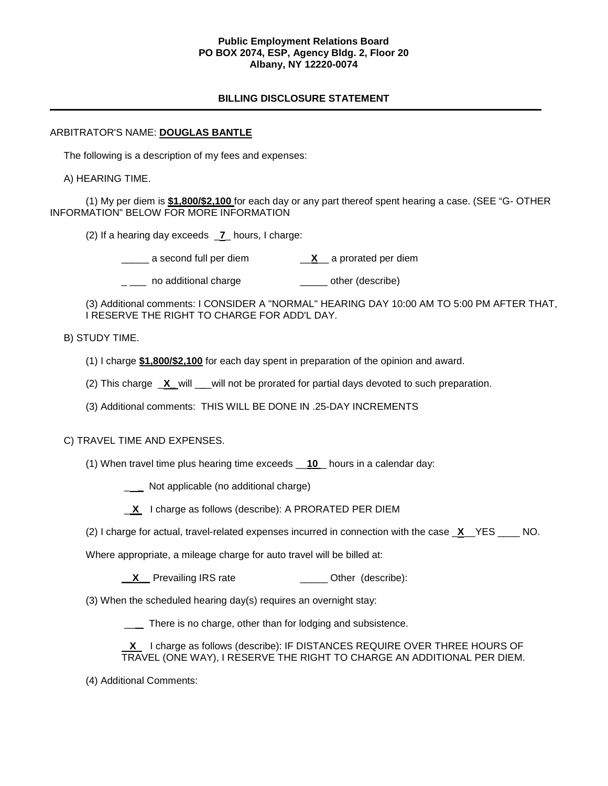#### **Public Employment Relations Board PO BOX 2074, ESP, Agency Bldg. 2, Floor 20 Albany, NY 12220-0074**

# **BILLING DISCLOSURE STATEMENT**

## ARBITRATOR'S NAME: **DOUGLAS BANTLE**

The following is a description of my fees and expenses:

A) HEARING TIME.

(1) My per diem is **\$1,800/\$2,100** for each day or any part thereof spent hearing a case. (SEE "G- OTHER INFORMATION" BELOW FOR MORE INFORMATION

(2) If a hearing day exceeds \_**7**\_ hours, I charge:

\_\_\_\_\_ a second full per diem \_\_**X**\_\_ a prorated per diem

\_\_\_ no additional charge \_\_\_\_\_\_ other (describe)

(3) Additional comments: I CONSIDER A "NORMAL" HEARING DAY 10:00 AM TO 5:00 PM AFTER THAT, I RESERVE THE RIGHT TO CHARGE FOR ADD'L DAY.

## B) STUDY TIME.

- (1) I charge **\$1,800/\$2,100** for each day spent in preparation of the opinion and award.
- (2) This charge \_**X\_** will \_\_\_will not be prorated for partial days devoted to such preparation.
- (3) Additional comments: THIS WILL BE DONE IN .25-DAY INCREMENTS

# C) TRAVEL TIME AND EXPENSES.

(1) When travel time plus hearing time exceeds \_\_**10** \_ hours in a calendar day:

\_ **\_** Not applicable (no additional charge)

**X** I charge as follows (describe): A PRORATED PER DIEM

(2) I charge for actual, travel-related expenses incurred in connection with the case \_**X**\_\_YES \_\_\_\_ NO.

Where appropriate, a mileage charge for auto travel will be billed at:

**X** Prevailing IRS rate \_\_\_\_\_\_\_\_\_\_\_\_\_\_\_\_\_\_ Other (describe):

(3) When the scheduled hearing day(s) requires an overnight stay:

\_\_ There is no charge, other than for lodging and subsistence.

 **X** I charge as follows (describe): IF DISTANCES REQUIRE OVER THREE HOURS OF TRAVEL (ONE WAY), I RESERVE THE RIGHT TO CHARGE AN ADDITIONAL PER DIEM.

(4) Additional Comments: